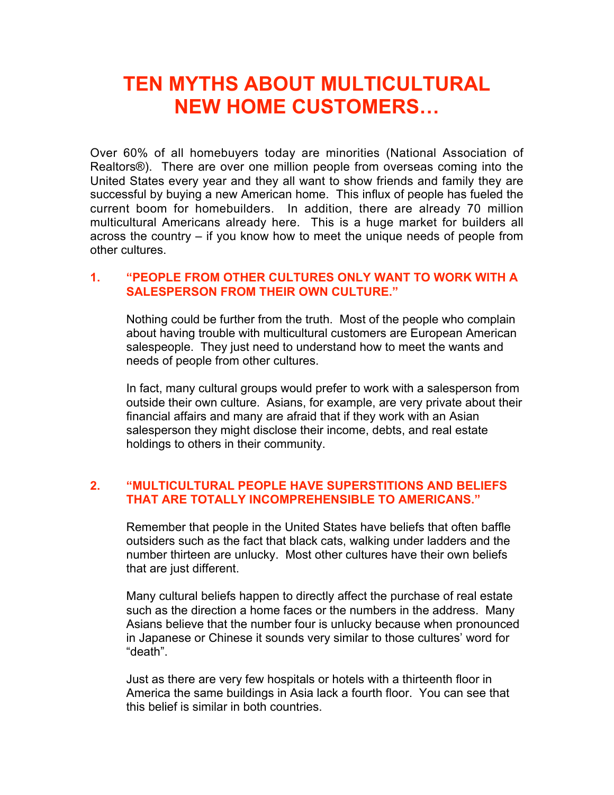# **TEN MYTHS ABOUT MULTICULTURAL NEW HOME CUSTOMERS…**

Over 60% of all homebuyers today are minorities (National Association of Realtors®). There are over one million people from overseas coming into the United States every year and they all want to show friends and family they are successful by buying a new American home. This influx of people has fueled the current boom for homebuilders. In addition, there are already 70 million multicultural Americans already here. This is a huge market for builders all across the country – if you know how to meet the unique needs of people from other cultures.

# **1. "PEOPLE FROM OTHER CULTURES ONLY WANT TO WORK WITH A SALESPERSON FROM THEIR OWN CULTURE."**

Nothing could be further from the truth. Most of the people who complain about having trouble with multicultural customers are European American salespeople. They just need to understand how to meet the wants and needs of people from other cultures.

In fact, many cultural groups would prefer to work with a salesperson from outside their own culture. Asians, for example, are very private about their financial affairs and many are afraid that if they work with an Asian salesperson they might disclose their income, debts, and real estate holdings to others in their community.

# **2. "MULTICULTURAL PEOPLE HAVE SUPERSTITIONS AND BELIEFS THAT ARE TOTALLY INCOMPREHENSIBLE TO AMERICANS."**

Remember that people in the United States have beliefs that often baffle outsiders such as the fact that black cats, walking under ladders and the number thirteen are unlucky. Most other cultures have their own beliefs that are just different.

Many cultural beliefs happen to directly affect the purchase of real estate such as the direction a home faces or the numbers in the address. Many Asians believe that the number four is unlucky because when pronounced in Japanese or Chinese it sounds very similar to those cultures' word for "death".

Just as there are very few hospitals or hotels with a thirteenth floor in America the same buildings in Asia lack a fourth floor. You can see that this belief is similar in both countries.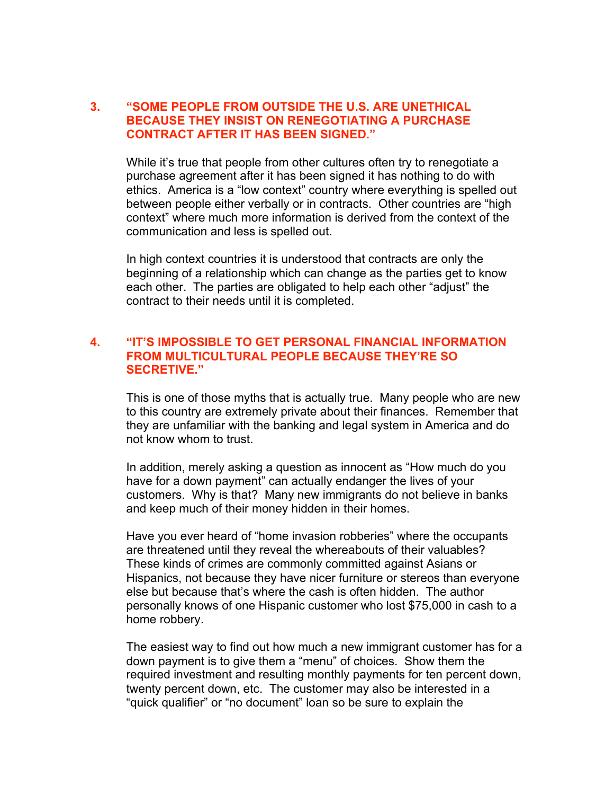## **3. "SOME PEOPLE FROM OUTSIDE THE U.S. ARE UNETHICAL BECAUSE THEY INSIST ON RENEGOTIATING A PURCHASE CONTRACT AFTER IT HAS BEEN SIGNED."**

While it's true that people from other cultures often try to renegotiate a purchase agreement after it has been signed it has nothing to do with ethics. America is a "low context" country where everything is spelled out between people either verbally or in contracts. Other countries are "high context" where much more information is derived from the context of the communication and less is spelled out.

In high context countries it is understood that contracts are only the beginning of a relationship which can change as the parties get to know each other. The parties are obligated to help each other "adjust" the contract to their needs until it is completed.

## **4. "IT'S IMPOSSIBLE TO GET PERSONAL FINANCIAL INFORMATION FROM MULTICULTURAL PEOPLE BECAUSE THEY'RE SO SECRETIVE."**

This is one of those myths that is actually true. Many people who are new to this country are extremely private about their finances. Remember that they are unfamiliar with the banking and legal system in America and do not know whom to trust.

In addition, merely asking a question as innocent as "How much do you have for a down payment" can actually endanger the lives of your customers. Why is that? Many new immigrants do not believe in banks and keep much of their money hidden in their homes.

Have you ever heard of "home invasion robberies" where the occupants are threatened until they reveal the whereabouts of their valuables? These kinds of crimes are commonly committed against Asians or Hispanics, not because they have nicer furniture or stereos than everyone else but because that's where the cash is often hidden. The author personally knows of one Hispanic customer who lost \$75,000 in cash to a home robbery.

The easiest way to find out how much a new immigrant customer has for a down payment is to give them a "menu" of choices. Show them the required investment and resulting monthly payments for ten percent down, twenty percent down, etc. The customer may also be interested in a "quick qualifier" or "no document" loan so be sure to explain the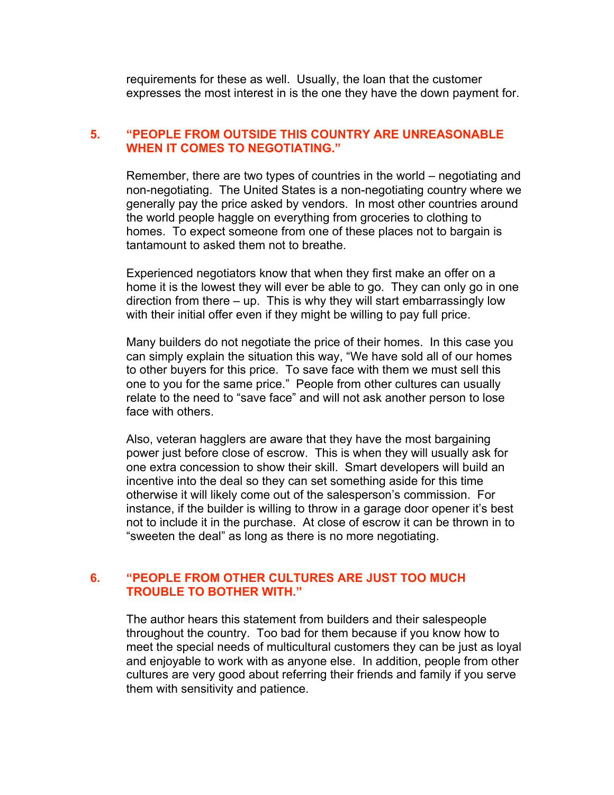requirements for these as well. Usually, the loan that the customer expresses the most interest in is the one they have the down payment for.

## **5. "PEOPLE FROM OUTSIDE THIS COUNTRY ARE UNREASONABLE WHEN IT COMES TO NEGOTIATING."**

Remember, there are two types of countries in the world – negotiating and non-negotiating. The United States is a non-negotiating country where we generally pay the price asked by vendors. In most other countries around the world people haggle on everything from groceries to clothing to homes. To expect someone from one of these places not to bargain is tantamount to asked them not to breathe.

Experienced negotiators know that when they first make an offer on a home it is the lowest they will ever be able to go. They can only go in one direction from there – up. This is why they will start embarrassingly low with their initial offer even if they might be willing to pay full price.

Many builders do not negotiate the price of their homes. In this case you can simply explain the situation this way, "We have sold all of our homes to other buyers for this price. To save face with them we must sell this one to you for the same price." People from other cultures can usually relate to the need to "save face" and will not ask another person to lose face with others.

Also, veteran hagglers are aware that they have the most bargaining power just before close of escrow. This is when they will usually ask for one extra concession to show their skill. Smart developers will build an incentive into the deal so they can set something aside for this time otherwise it will likely come out of the salesperson's commission. For instance, if the builder is willing to throw in a garage door opener it's best not to include it in the purchase. At close of escrow it can be thrown in to "sweeten the deal" as long as there is no more negotiating.

## **6. "PEOPLE FROM OTHER CULTURES ARE JUST TOO MUCH TROUBLE TO BOTHER WITH."**

The author hears this statement from builders and their salespeople throughout the country. Too bad for them because if you know how to meet the special needs of multicultural customers they can be just as loyal and enjoyable to work with as anyone else. In addition, people from other cultures are very good about referring their friends and family if you serve them with sensitivity and patience.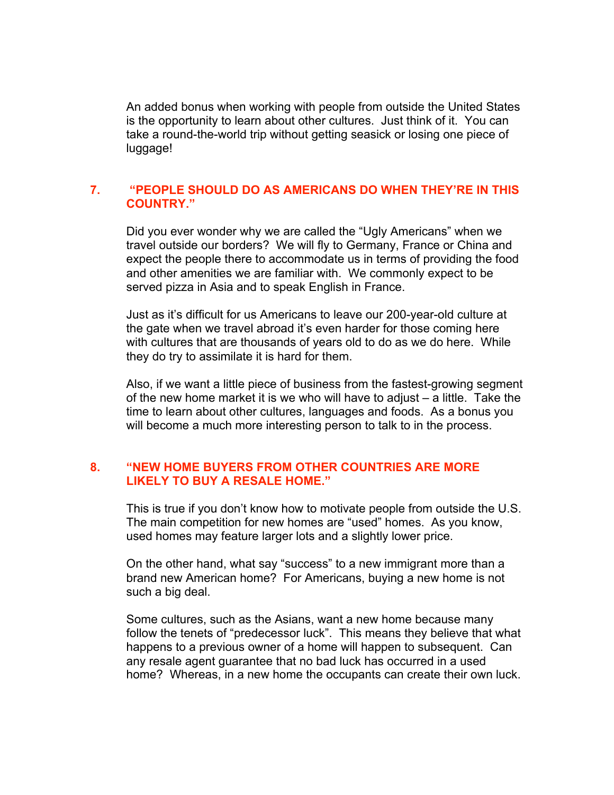An added bonus when working with people from outside the United States is the opportunity to learn about other cultures. Just think of it. You can take a round-the-world trip without getting seasick or losing one piece of luggage!

#### **7. "PEOPLE SHOULD DO AS AMERICANS DO WHEN THEY'RE IN THIS COUNTRY."**

Did you ever wonder why we are called the "Ugly Americans" when we travel outside our borders? We will fly to Germany, France or China and expect the people there to accommodate us in terms of providing the food and other amenities we are familiar with. We commonly expect to be served pizza in Asia and to speak English in France.

Just as it's difficult for us Americans to leave our 200-year-old culture at the gate when we travel abroad it's even harder for those coming here with cultures that are thousands of years old to do as we do here. While they do try to assimilate it is hard for them.

Also, if we want a little piece of business from the fastest-growing segment of the new home market it is we who will have to adjust – a little. Take the time to learn about other cultures, languages and foods. As a bonus you will become a much more interesting person to talk to in the process.

## **8. "NEW HOME BUYERS FROM OTHER COUNTRIES ARE MORE LIKELY TO BUY A RESALE HOME."**

This is true if you don't know how to motivate people from outside the U.S. The main competition for new homes are "used" homes. As you know, used homes may feature larger lots and a slightly lower price.

On the other hand, what say "success" to a new immigrant more than a brand new American home? For Americans, buying a new home is not such a big deal.

Some cultures, such as the Asians, want a new home because many follow the tenets of "predecessor luck". This means they believe that what happens to a previous owner of a home will happen to subsequent. Can any resale agent guarantee that no bad luck has occurred in a used home? Whereas, in a new home the occupants can create their own luck.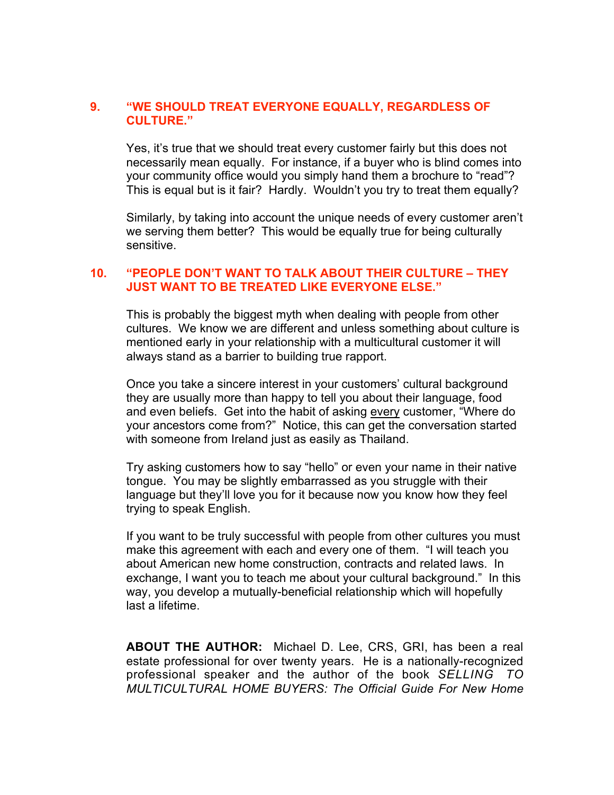## **9. "WE SHOULD TREAT EVERYONE EQUALLY, REGARDLESS OF CULTURE."**

Yes, it's true that we should treat every customer fairly but this does not necessarily mean equally. For instance, if a buyer who is blind comes into your community office would you simply hand them a brochure to "read"? This is equal but is it fair? Hardly. Wouldn't you try to treat them equally?

Similarly, by taking into account the unique needs of every customer aren't we serving them better? This would be equally true for being culturally sensitive.

## **10. "PEOPLE DON'T WANT TO TALK ABOUT THEIR CULTURE – THEY JUST WANT TO BE TREATED LIKE EVERYONE ELSE."**

This is probably the biggest myth when dealing with people from other cultures. We know we are different and unless something about culture is mentioned early in your relationship with a multicultural customer it will always stand as a barrier to building true rapport.

Once you take a sincere interest in your customers' cultural background they are usually more than happy to tell you about their language, food and even beliefs. Get into the habit of asking every customer, "Where do your ancestors come from?" Notice, this can get the conversation started with someone from Ireland just as easily as Thailand.

Try asking customers how to say "hello" or even your name in their native tongue. You may be slightly embarrassed as you struggle with their language but they'll love you for it because now you know how they feel trying to speak English.

If you want to be truly successful with people from other cultures you must make this agreement with each and every one of them. "I will teach you about American new home construction, contracts and related laws. In exchange, I want you to teach me about your cultural background." In this way, you develop a mutually-beneficial relationship which will hopefully last a lifetime.

**ABOUT THE AUTHOR:** Michael D. Lee, CRS, GRI, has been a real estate professional for over twenty years. He is a nationally-recognized professional speaker and the author of the book *SELLING TO MULTICULTURAL HOME BUYERS: The Official Guide For New Home*